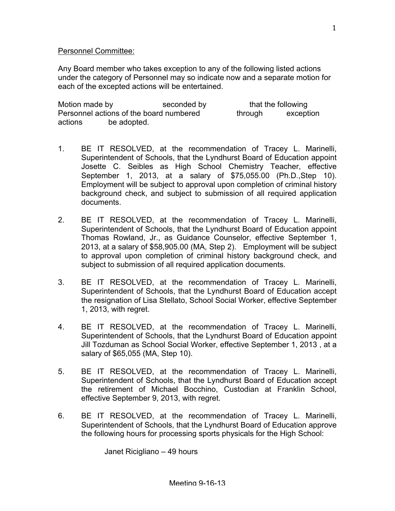## Personnel Committee:

Any Board member who takes exception to any of the following listed actions under the category of Personnel may so indicate now and a separate motion for each of the excepted actions will be entertained.

| Motion made by                          |             | seconded by |         | that the following |
|-----------------------------------------|-------------|-------------|---------|--------------------|
| Personnel actions of the board numbered |             |             | through | exception          |
| actions                                 | be adopted. |             |         |                    |

- 1. BE IT RESOLVED, at the recommendation of Tracey L. Marinelli, Superintendent of Schools, that the Lyndhurst Board of Education appoint Josette C. Seibles as High School Chemistry Teacher, effective September 1, 2013, at a salary of \$75,055.00 (Ph.D.,Step 10). Employment will be subject to approval upon completion of criminal history background check, and subject to submission of all required application documents.
- 2. BE IT RESOLVED, at the recommendation of Tracey L. Marinelli, Superintendent of Schools, that the Lyndhurst Board of Education appoint Thomas Rowland, Jr., as Guidance Counselor, effective September 1, 2013, at a salary of \$58,905.00 (MA, Step 2). Employment will be subject to approval upon completion of criminal history background check, and subject to submission of all required application documents.
- 3. BE IT RESOLVED, at the recommendation of Tracey L. Marinelli, Superintendent of Schools, that the Lyndhurst Board of Education accept the resignation of Lisa Stellato, School Social Worker, effective September 1, 2013, with regret.
- 4. BE IT RESOLVED, at the recommendation of Tracey L. Marinelli, Superintendent of Schools, that the Lyndhurst Board of Education appoint Jill Tozduman as School Social Worker, effective September 1, 2013 , at a salary of \$65,055 (MA, Step 10).
- 5. BE IT RESOLVED, at the recommendation of Tracey L. Marinelli, Superintendent of Schools, that the Lyndhurst Board of Education accept the retirement of Michael Bocchino, Custodian at Franklin School, effective September 9, 2013, with regret.
- 6. BE IT RESOLVED, at the recommendation of Tracey L. Marinelli, Superintendent of Schools, that the Lyndhurst Board of Education approve the following hours for processing sports physicals for the High School:

Janet Ricigliano – 49 hours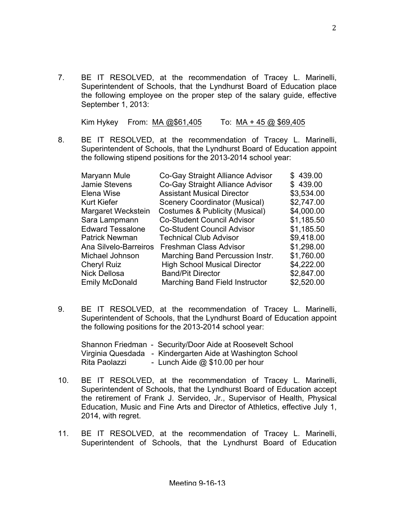7. BE IT RESOLVED, at the recommendation of Tracey L. Marinelli, Superintendent of Schools, that the Lyndhurst Board of Education place the following employee on the proper step of the salary guide, effective September 1, 2013:

Kim Hykey From: MA @\$61,405 To: MA + 45 @ \$69,405

8. BE IT RESOLVED, at the recommendation of Tracey L. Marinelli, Superintendent of Schools, that the Lyndhurst Board of Education appoint the following stipend positions for the 2013-2014 school year:

| Maryann Mule            | Co-Gay Straight Alliance Advisor          | \$439.00   |
|-------------------------|-------------------------------------------|------------|
| <b>Jamie Stevens</b>    | Co-Gay Straight Alliance Advisor          | \$439.00   |
| Elena Wise              | <b>Assistant Musical Director</b>         | \$3,534.00 |
| <b>Kurt Kiefer</b>      | <b>Scenery Coordinator (Musical)</b>      | \$2,747.00 |
| Margaret Weckstein      | <b>Costumes &amp; Publicity (Musical)</b> | \$4,000.00 |
| Sara Lampmann           | <b>Co-Student Council Advisor</b>         | \$1,185.50 |
| <b>Edward Tessalone</b> | <b>Co-Student Council Advisor</b>         | \$1,185.50 |
| <b>Patrick Newman</b>   | <b>Technical Club Advisor</b>             | \$9,418.00 |
| Ana Silvelo-Barreiros   | <b>Freshman Class Advisor</b>             | \$1,298.00 |
| Michael Johnson         | Marching Band Percussion Instr.           | \$1,760.00 |
| <b>Cheryl Ruiz</b>      | <b>High School Musical Director</b>       | \$4,222.00 |
| <b>Nick Dellosa</b>     | <b>Band/Pit Director</b>                  | \$2,847.00 |
| <b>Emily McDonald</b>   | <b>Marching Band Field Instructor</b>     | \$2,520.00 |
|                         |                                           |            |

9. BE IT RESOLVED, at the recommendation of Tracey L. Marinelli, Superintendent of Schools, that the Lyndhurst Board of Education appoint the following positions for the 2013-2014 school year:

|               | Shannon Friedman - Security/Door Aide at Roosevelt School  |
|---------------|------------------------------------------------------------|
|               | Virginia Quesdada - Kindergarten Aide at Washington School |
| Rita Paolazzi | - Lunch Aide $@$ \$10.00 per hour                          |

- 10. BE IT RESOLVED, at the recommendation of Tracey L. Marinelli, Superintendent of Schools, that the Lyndhurst Board of Education accept the retirement of Frank J. Servideo, Jr., Supervisor of Health, Physical Education, Music and Fine Arts and Director of Athletics, effective July 1, 2014, with regret.
- 11. BE IT RESOLVED, at the recommendation of Tracey L. Marinelli, Superintendent of Schools, that the Lyndhurst Board of Education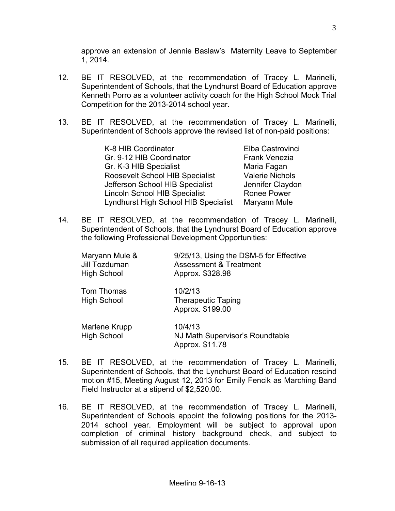approve an extension of Jennie Baslaw's Maternity Leave to September 1, 2014.

- 12. BE IT RESOLVED, at the recommendation of Tracey L. Marinelli, Superintendent of Schools, that the Lyndhurst Board of Education approve Kenneth Porro as a volunteer activity coach for the High School Mock Trial Competition for the 2013-2014 school year.
- 13. BE IT RESOLVED, at the recommendation of Tracey L. Marinelli, Superintendent of Schools approve the revised list of non-paid positions:

| K-8 HIB Coordinator                  | Elba Castrovinci       |
|--------------------------------------|------------------------|
| Gr. 9-12 HIB Coordinator             | <b>Frank Venezia</b>   |
| Gr. K-3 HIB Specialist               | Maria Fagan            |
| Roosevelt School HIB Specialist      | <b>Valerie Nichols</b> |
| Jefferson School HIB Specialist      | Jennifer Claydon       |
| <b>Lincoln School HIB Specialist</b> | <b>Ronee Power</b>     |
| Lyndhurst High School HIB Specialist | Maryann Mule           |

14. BE IT RESOLVED, at the recommendation of Tracey L. Marinelli, Superintendent of Schools, that the Lyndhurst Board of Education approve the following Professional Development Opportunities:

| Maryann Mule &<br>Jill Tozduman<br><b>High School</b> | 9/25/13, Using the DSM-5 for Effective<br><b>Assessment &amp; Treatment</b><br>Approx. \$328.98 |
|-------------------------------------------------------|-------------------------------------------------------------------------------------------------|
| Tom Thomas<br><b>High School</b>                      | 10/2/13<br><b>Therapeutic Taping</b><br>Approx. \$199.00                                        |
| Marlene Krupp<br><b>High School</b>                   | 10/4/13<br>NJ Math Supervisor's Roundtable<br>Approx. \$11.78                                   |

- 15. BE IT RESOLVED, at the recommendation of Tracey L. Marinelli, Superintendent of Schools, that the Lyndhurst Board of Education rescind motion #15, Meeting August 12, 2013 for Emily Fencik as Marching Band Field Instructor at a stipend of \$2,520.00.
- 16. BE IT RESOLVED, at the recommendation of Tracey L. Marinelli, Superintendent of Schools appoint the following positions for the 2013- 2014 school year. Employment will be subject to approval upon completion of criminal history background check, and subject to submission of all required application documents.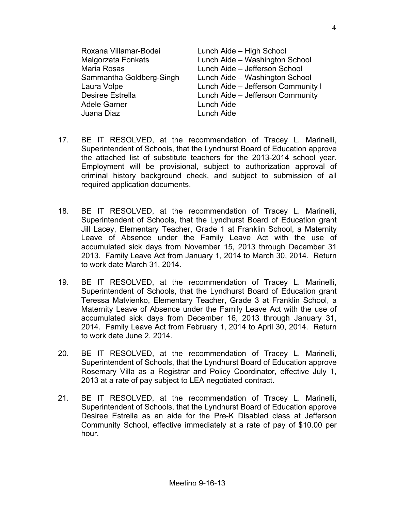| Roxana Villamar-Bodei    | Lunch Aide - High School           |
|--------------------------|------------------------------------|
| Malgorzata Fonkats       | Lunch Aide - Washington School     |
| Maria Rosas              | Lunch Aide - Jefferson School      |
| Sammantha Goldberg-Singh | Lunch Aide – Washington School     |
| Laura Volpe              | Lunch Aide - Jefferson Community I |
| Desiree Estrella         | Lunch Aide - Jefferson Community   |
| Adele Garner             | Lunch Aide                         |
| Juana Diaz               | Lunch Aide                         |
|                          |                                    |

- 17. BE IT RESOLVED, at the recommendation of Tracey L. Marinelli, Superintendent of Schools, that the Lyndhurst Board of Education approve the attached list of substitute teachers for the 2013-2014 school year. Employment will be provisional, subject to authorization approval of criminal history background check, and subject to submission of all required application documents.
- 18. BE IT RESOLVED, at the recommendation of Tracey L. Marinelli, Superintendent of Schools, that the Lyndhurst Board of Education grant Jill Lacey, Elementary Teacher, Grade 1 at Franklin School, a Maternity Leave of Absence under the Family Leave Act with the use of accumulated sick days from November 15, 2013 through December 31 2013. Family Leave Act from January 1, 2014 to March 30, 2014. Return to work date March 31, 2014.
- 19. BE IT RESOLVED, at the recommendation of Tracey L. Marinelli, Superintendent of Schools, that the Lyndhurst Board of Education grant Teressa Matvienko, Elementary Teacher, Grade 3 at Franklin School, a Maternity Leave of Absence under the Family Leave Act with the use of accumulated sick days from December 16, 2013 through January 31, 2014. Family Leave Act from February 1, 2014 to April 30, 2014. Return to work date June 2, 2014.
- 20. BE IT RESOLVED, at the recommendation of Tracey L. Marinelli, Superintendent of Schools, that the Lyndhurst Board of Education approve Rosemary Villa as a Registrar and Policy Coordinator, effective July 1, 2013 at a rate of pay subject to LEA negotiated contract.
- 21. BE IT RESOLVED, at the recommendation of Tracey L. Marinelli, Superintendent of Schools, that the Lyndhurst Board of Education approve Desiree Estrella as an aide for the Pre-K Disabled class at Jefferson Community School, effective immediately at a rate of pay of \$10.00 per hour.